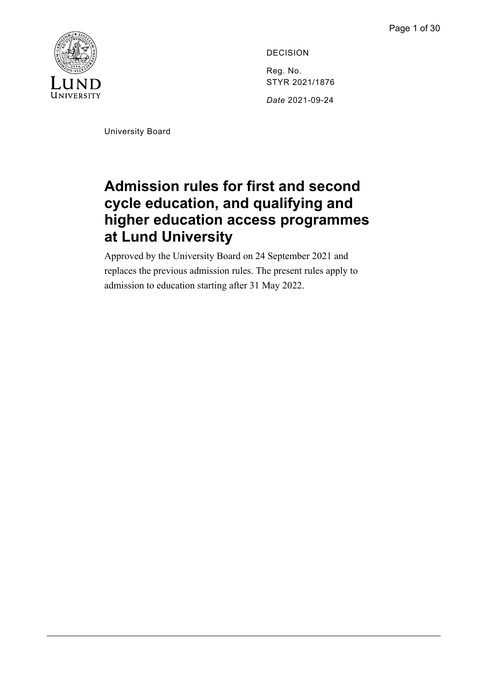

DECISION Reg. No. STYR 2021/1876 *Date* 2021-09-24

<span id="page-0-0"></span>University Board

# **Admission rules for first and second cycle education, and qualifying and higher education access programmes at Lund University**

Approved by the University Board on 24 September 2021 and replaces the previous admission rules. The present rules apply to admission to education starting after 31 May 2022.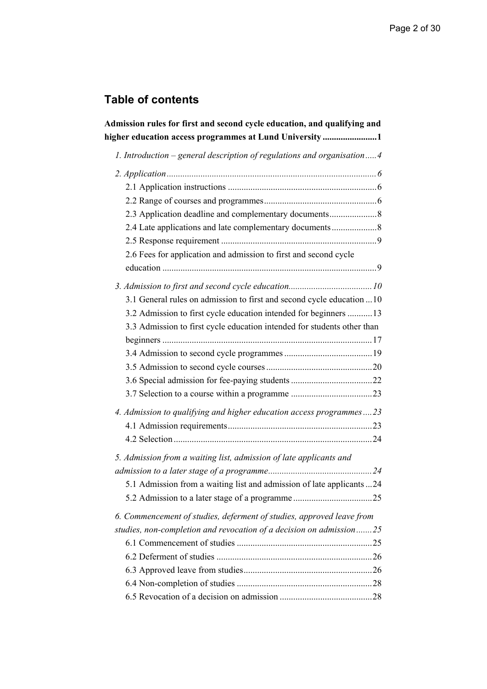# **Table of contents**

| Admission rules for first and second cycle education, and qualifying and<br>higher education access programmes at Lund University1           |
|----------------------------------------------------------------------------------------------------------------------------------------------|
| 1. Introduction – general description of regulations and organisation4                                                                       |
|                                                                                                                                              |
| 2.3 Application deadline and complementary documents8                                                                                        |
| 2.4 Late applications and late complementary documents<br>2.6 Fees for application and admission to first and second cycle                   |
| 3.1 General rules on admission to first and second cycle education  10<br>3.2 Admission to first cycle education intended for beginners  13  |
| 3.3 Admission to first cycle education intended for students other than                                                                      |
|                                                                                                                                              |
| 4. Admission to qualifying and higher education access programmes23                                                                          |
| 5. Admission from a waiting list, admission of late applicants and<br>5.1 Admission from a waiting list and admission of late applicants 24  |
| 6. Commencement of studies, deferment of studies, approved leave from<br>studies, non-completion and revocation of a decision on admission25 |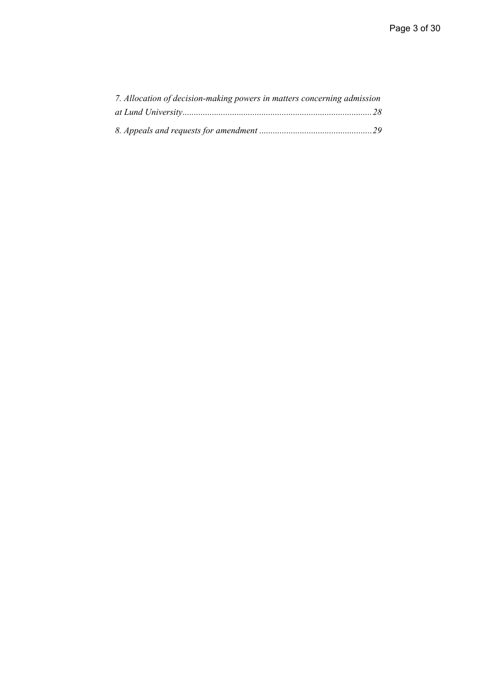| 7. Allocation of decision-making powers in matters concerning admission |  |
|-------------------------------------------------------------------------|--|
|                                                                         |  |
|                                                                         |  |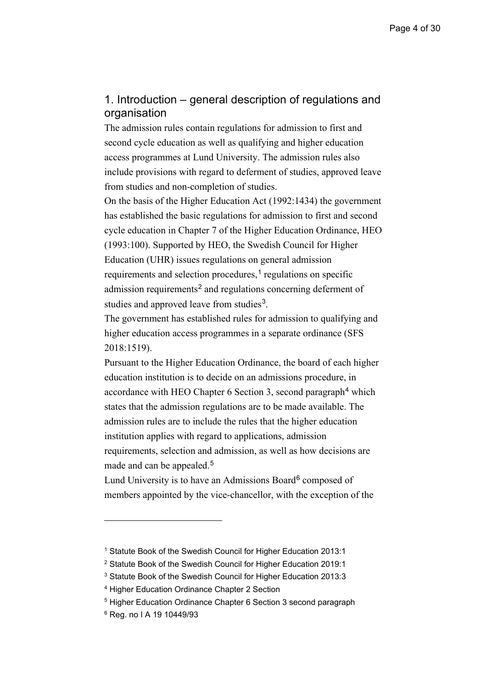# <span id="page-3-0"></span>1. Introduction – general description of regulations and organisation

The admission rules contain regulations for admission to first and second cycle education as well as qualifying and higher education access programmes at Lund University. The admission rules also include provisions with regard to deferment of studies, approved leave from studies and non-completion of studies.

On the basis of the Higher Education Act (1992:1434) the government has established the basic regulations for admission to first and second cycle education in Chapter 7 of the Higher Education Ordinance, HEO (1993:100). Supported by HEO, the Swedish Council for Higher Education (UHR) issues regulations on general admission requirements and selection procedures, [1](#page-3-1) regulations on specific admission requirements<sup>[2](#page-3-2)</sup> and regulations concerning deferment of studies and approved leave from studies<sup>[3](#page-3-3)</sup>.

The government has established rules for admission to qualifying and higher education access programmes in a separate ordinance (SFS 2018:1519).

Pursuant to the Higher Education Ordinance, the board of each higher education institution is to decide on an admissions procedure, in accordance with HEO Chapter 6 Section 3, second paragraph<sup>[4](#page-3-4)</sup> which states that the admission regulations are to be made available. The admission rules are to include the rules that the higher education institution applies with regard to applications, admission requirements, selection and admission, as well as how decisions are made and can be appealed. [5](#page-3-5)

Lund University is to have an Admissions Board<sup>[6](#page-3-6)</sup> composed of members appointed by the vice-chancellor, with the exception of the

<span id="page-3-1"></span><sup>1</sup> Statute Book of the Swedish Council for Higher Education 2013:1

<span id="page-3-2"></span><sup>2</sup> Statute Book of the Swedish Council for Higher Education 2019:1

<span id="page-3-3"></span><sup>3</sup> Statute Book of the Swedish Council for Higher Education 2013:3

<span id="page-3-4"></span><sup>4</sup> Higher Education Ordinance Chapter 2 Section

<span id="page-3-5"></span><sup>5</sup> Higher Education Ordinance Chapter 6 Section 3 second paragraph

<span id="page-3-6"></span><sup>6</sup> Reg. no I A 19 10449/93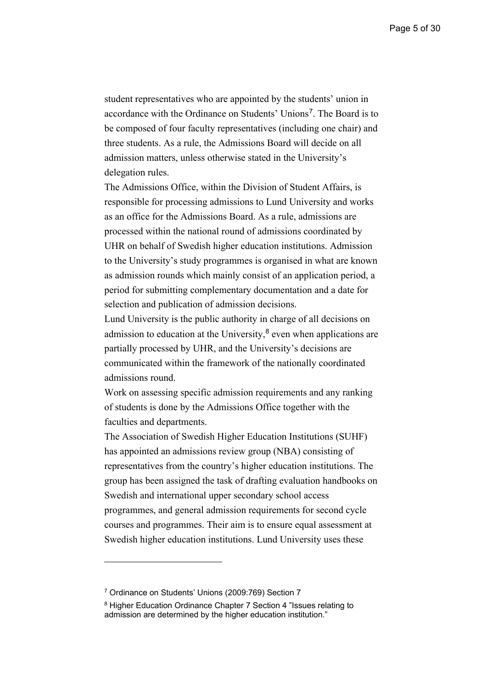student representatives who are appointed by the students' union in accordance with the Ordinance on Students' Unions[7](#page-4-0). The Board is to be composed of four faculty representatives (including one chair) and three students. As a rule, the Admissions Board will decide on all admission matters, unless otherwise stated in the University's delegation rules.

The Admissions Office, within the Division of Student Affairs, is responsible for processing admissions to Lund University and works as an office for the Admissions Board. As a rule, admissions are processed within the national round of admissions coordinated by UHR on behalf of Swedish higher education institutions. Admission to the University's study programmes is organised in what are known as admission rounds which mainly consist of an application period, a period for submitting complementary documentation and a date for selection and publication of admission decisions.

Lund University is the public authority in charge of all decisions on admission to education at the University, [8](#page-4-1) even when applications are partially processed by UHR, and the University's decisions are communicated within the framework of the nationally coordinated admissions round.

Work on assessing specific admission requirements and any ranking of students is done by the Admissions Office together with the faculties and departments.

The Association of Swedish Higher Education Institutions (SUHF) has appointed an admissions review group (NBA) consisting of representatives from the country's higher education institutions. The group has been assigned the task of drafting evaluation handbooks on Swedish and international upper secondary school access programmes, and general admission requirements for second cycle courses and programmes. Their aim is to ensure equal assessment at Swedish higher education institutions. Lund University uses these

<span id="page-4-0"></span><sup>7</sup> Ordinance on Students' Unions (2009:769) Section 7

<span id="page-4-1"></span><sup>8</sup> Higher Education Ordinance Chapter 7 Section 4 "Issues relating to admission are determined by the higher education institution."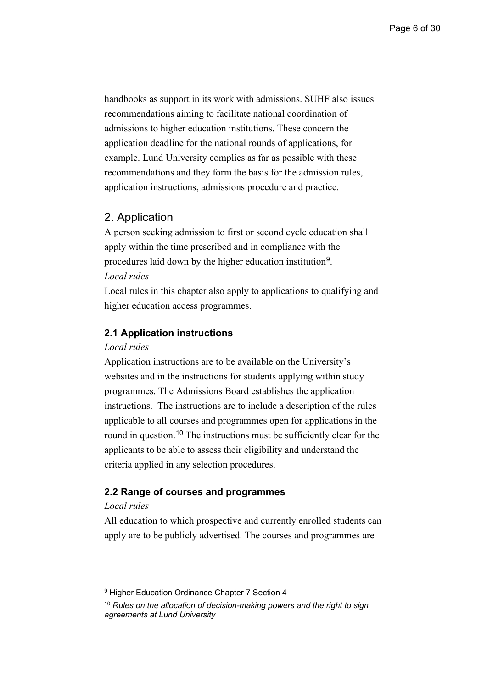handbooks as support in its work with admissions. SUHF also issues recommendations aiming to facilitate national coordination of admissions to higher education institutions. These concern the application deadline for the national rounds of applications, for example. Lund University complies as far as possible with these recommendations and they form the basis for the admission rules, application instructions, admissions procedure and practice.

## <span id="page-5-0"></span>2. Application

A person seeking admission to first or second cycle education shall apply within the time prescribed and in compliance with the procedures laid down by the higher education institution[9](#page-5-3). *Local rules*

Local rules in this chapter also apply to applications to qualifying and higher education access programmes.

#### <span id="page-5-1"></span>**2.1 Application instructions**

#### *Local rules*

Application instructions are to be available on the University's websites and in the instructions for students applying within study programmes. The Admissions Board establishes the application instructions. The instructions are to include a description of the rules applicable to all courses and programmes open for applications in the round in question.<sup>[10](#page-5-4)</sup> The instructions must be sufficiently clear for the applicants to be able to assess their eligibility and understand the criteria applied in any selection procedures.

#### <span id="page-5-2"></span>**2.2 Range of courses and programmes**

## *Local rules*

All education to which prospective and currently enrolled students can apply are to be publicly advertised. The courses and programmes are

<span id="page-5-3"></span><sup>&</sup>lt;sup>9</sup> Higher Education Ordinance Chapter 7 Section 4

<span id="page-5-4"></span><sup>10</sup> *Rules on the allocation of decision-making powers and the right to sign agreements at Lund University*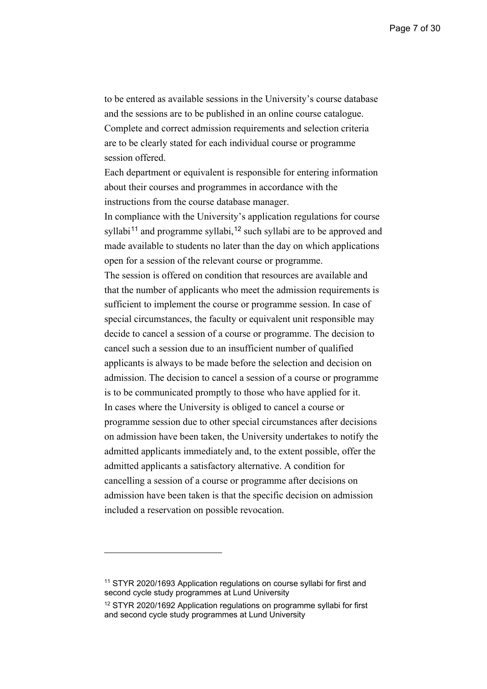to be entered as available sessions in the University's course database and the sessions are to be published in an online course catalogue. Complete and correct admission requirements and selection criteria are to be clearly stated for each individual course or programme session offered.

Each department or equivalent is responsible for entering information about their courses and programmes in accordance with the instructions from the course database manager.

In compliance with the University's application regulations for course syllabi<sup>[11](#page-6-0)</sup> and programme syllabi,<sup>[12](#page-6-1)</sup> such syllabi are to be approved and made available to students no later than the day on which applications open for a session of the relevant course or programme.

The session is offered on condition that resources are available and that the number of applicants who meet the admission requirements is sufficient to implement the course or programme session. In case of special circumstances, the faculty or equivalent unit responsible may decide to cancel a session of a course or programme. The decision to cancel such a session due to an insufficient number of qualified applicants is always to be made before the selection and decision on admission. The decision to cancel a session of a course or programme is to be communicated promptly to those who have applied for it. In cases where the University is obliged to cancel a course or programme session due to other special circumstances after decisions on admission have been taken, the University undertakes to notify the admitted applicants immediately and, to the extent possible, offer the admitted applicants a satisfactory alternative. A condition for cancelling a session of a course or programme after decisions on admission have been taken is that the specific decision on admission included a reservation on possible revocation.

<span id="page-6-0"></span><sup>&</sup>lt;sup>11</sup> STYR 2020/1693 Application regulations on course syllabi for first and second cycle study programmes at Lund University

<span id="page-6-1"></span><sup>12</sup> STYR 2020/1692 Application regulations on programme syllabi for first and second cycle study programmes at Lund University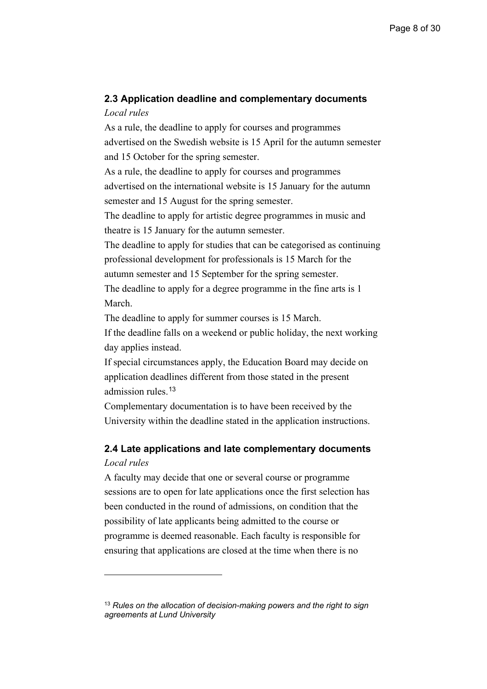## <span id="page-7-0"></span>**2.3 Application deadline and complementary documents** *Local rules*

As a rule, the deadline to apply for courses and programmes advertised on the Swedish website is 15 April for the autumn semester and 15 October for the spring semester. As a rule, the deadline to apply for courses and programmes advertised on the international website is 15 January for the autumn semester and 15 August for the spring semester.

The deadline to apply for artistic degree programmes in music and theatre is 15 January for the autumn semester.

The deadline to apply for studies that can be categorised as continuing professional development for professionals is 15 March for the autumn semester and 15 September for the spring semester.

The deadline to apply for a degree programme in the fine arts is 1 March.

The deadline to apply for summer courses is 15 March.

If the deadline falls on a weekend or public holiday, the next working day applies instead.

If special circumstances apply, the Education Board may decide on application deadlines different from those stated in the present admission rules. [13](#page-7-2)

Complementary documentation is to have been received by the University within the deadline stated in the application instructions.

## <span id="page-7-1"></span>**2.4 Late applications and late complementary documents**  *Local rules*

A faculty may decide that one or several course or programme sessions are to open for late applications once the first selection has been conducted in the round of admissions, on condition that the possibility of late applicants being admitted to the course or programme is deemed reasonable. Each faculty is responsible for ensuring that applications are closed at the time when there is no

<span id="page-7-2"></span><sup>13</sup> *Rules on the allocation of decision-making powers and the right to sign agreements at Lund University*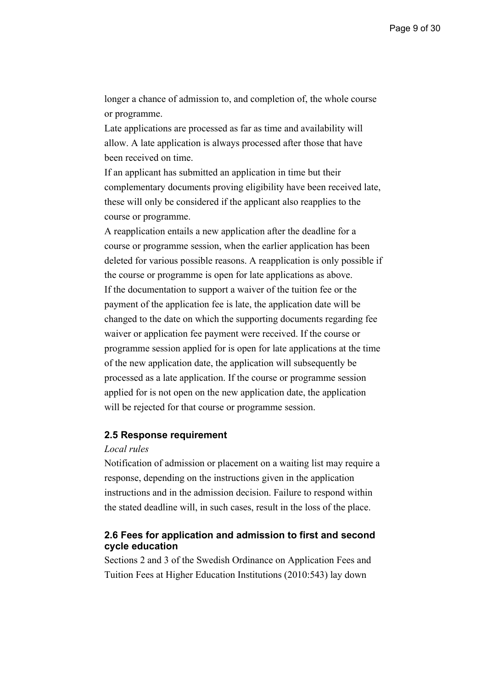longer a chance of admission to, and completion of, the whole course or programme.

Late applications are processed as far as time and availability will allow. A late application is always processed after those that have been received on time.

If an applicant has submitted an application in time but their complementary documents proving eligibility have been received late, these will only be considered if the applicant also reapplies to the course or programme.

A reapplication entails a new application after the deadline for a course or programme session, when the earlier application has been deleted for various possible reasons. A reapplication is only possible if the course or programme is open for late applications as above. If the documentation to support a waiver of the tuition fee or the payment of the application fee is late, the application date will be changed to the date on which the supporting documents regarding fee waiver or application fee payment were received. If the course or programme session applied for is open for late applications at the time of the new application date, the application will subsequently be processed as a late application. If the course or programme session applied for is not open on the new application date, the application will be rejected for that course or programme session.

## <span id="page-8-0"></span>**2.5 Response requirement**

#### *Local rules*

Notification of admission or placement on a waiting list may require a response, depending on the instructions given in the application instructions and in the admission decision. Failure to respond within the stated deadline will, in such cases, result in the loss of the place.

## <span id="page-8-1"></span>**2.6 Fees for application and admission to first and second cycle education**

Sections 2 and 3 of the Swedish Ordinance on Application Fees and Tuition Fees at Higher Education Institutions (2010:543) lay down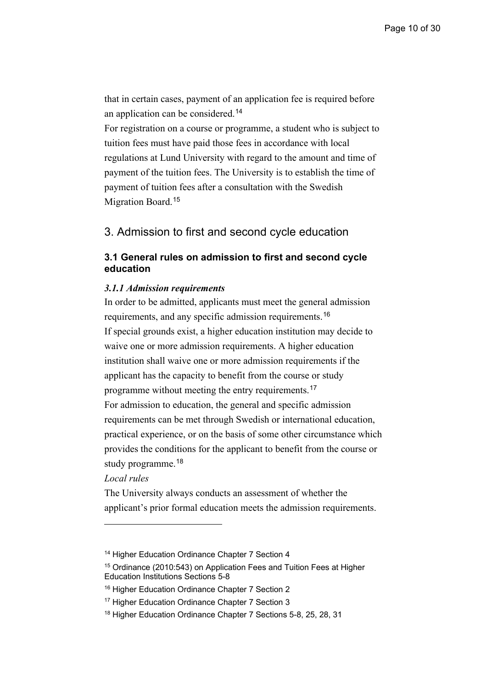that in certain cases, payment of an application fee is required before an application can be considered. [14](#page-9-2)

For registration on a course or programme, a student who is subject to tuition fees must have paid those fees in accordance with local regulations at Lund University with regard to the amount and time of payment of the tuition fees. The University is to establish the time of payment of tuition fees after a consultation with the Swedish Migration Board. [15](#page-9-3)

## <span id="page-9-0"></span>3. Admission to first and second cycle education

## <span id="page-9-1"></span>**3.1 General rules on admission to first and second cycle education**

#### *3.1.1 Admission requirements*

In order to be admitted, applicants must meet the general admission requirements, and any specific admission requirements.<sup>[16](#page-9-4)</sup> If special grounds exist, a higher education institution may decide to waive one or more admission requirements. A higher education institution shall waive one or more admission requirements if the applicant has the capacity to benefit from the course or study programme without meeting the entry requirements.<sup>[17](#page-9-5)</sup> For admission to education, the general and specific admission requirements can be met through Swedish or international education, practical experience, or on the basis of some other circumstance which provides the conditions for the applicant to benefit from the course or study programme. [18](#page-9-6)

*Local rules* 

The University always conducts an assessment of whether the applicant's prior formal education meets the admission requirements.

<span id="page-9-2"></span><sup>&</sup>lt;sup>14</sup> Higher Education Ordinance Chapter 7 Section 4

<span id="page-9-3"></span><sup>15</sup> Ordinance (2010:543) on Application Fees and Tuition Fees at Higher Education Institutions Sections 5-8

<span id="page-9-4"></span><sup>&</sup>lt;sup>16</sup> Higher Education Ordinance Chapter 7 Section 2

<span id="page-9-5"></span><sup>&</sup>lt;sup>17</sup> Higher Education Ordinance Chapter 7 Section 3

<span id="page-9-6"></span><sup>18</sup> Higher Education Ordinance Chapter 7 Sections 5-8, 25, 28, 31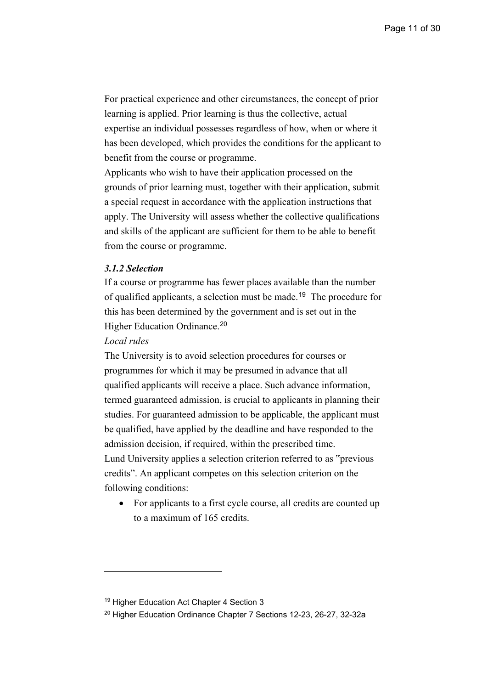For practical experience and other circumstances, the concept of prior learning is applied. Prior learning is thus the collective, actual expertise an individual possesses regardless of how, when or where it has been developed, which provides the conditions for the applicant to benefit from the course or programme.

Applicants who wish to have their application processed on the grounds of prior learning must, together with their application, submit a special request in accordance with the application instructions that apply. The University will assess whether the collective qualifications and skills of the applicant are sufficient for them to be able to benefit from the course or programme.

#### *3.1.2 Selection*

If a course or programme has fewer places available than the number of qualified applicants, a selection must be made. [19](#page-10-0) The procedure for this has been determined by the government and is set out in the Higher Education Ordinance.<sup>[20](#page-10-1)</sup>

#### *Local rules*

The University is to avoid selection procedures for courses or programmes for which it may be presumed in advance that all qualified applicants will receive a place. Such advance information, termed guaranteed admission, is crucial to applicants in planning their studies. For guaranteed admission to be applicable, the applicant must be qualified, have applied by the deadline and have responded to the admission decision, if required, within the prescribed time. Lund University applies a selection criterion referred to as "previous credits". An applicant competes on this selection criterion on the following conditions:

• For applicants to a first cycle course, all credits are counted up to a maximum of 165 credits.

<span id="page-10-0"></span><sup>&</sup>lt;sup>19</sup> Higher Education Act Chapter 4 Section 3

<span id="page-10-1"></span><sup>&</sup>lt;sup>20</sup> Higher Education Ordinance Chapter 7 Sections 12-23, 26-27, 32-32a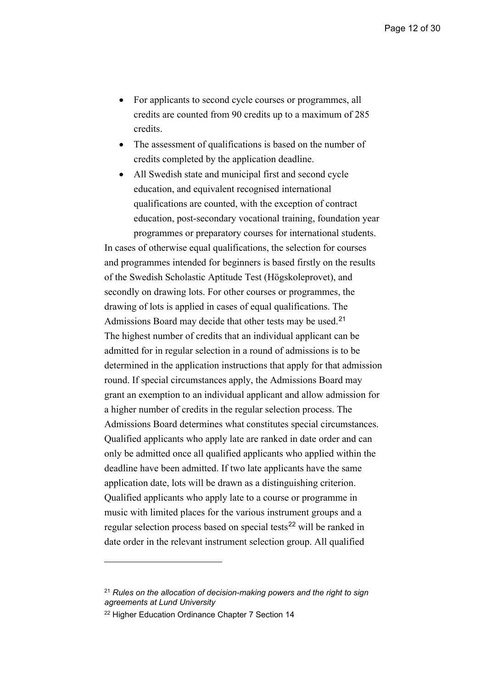- For applicants to second cycle courses or programmes, all credits are counted from 90 credits up to a maximum of 285 credits.
- The assessment of qualifications is based on the number of credits completed by the application deadline.
- All Swedish state and municipal first and second cycle education, and equivalent recognised international qualifications are counted, with the exception of contract education, post-secondary vocational training, foundation year programmes or preparatory courses for international students.

In cases of otherwise equal qualifications, the selection for courses and programmes intended for beginners is based firstly on the results of the Swedish Scholastic Aptitude Test (Högskoleprovet), and secondly on drawing lots. For other courses or programmes, the drawing of lots is applied in cases of equal qualifications. The Admissions Board may decide that other tests may be used.<sup>[21](#page-11-0)</sup> The highest number of credits that an individual applicant can be admitted for in regular selection in a round of admissions is to be determined in the application instructions that apply for that admission round. If special circumstances apply, the Admissions Board may grant an exemption to an individual applicant and allow admission for a higher number of credits in the regular selection process. The Admissions Board determines what constitutes special circumstances. Qualified applicants who apply late are ranked in date order and can only be admitted once all qualified applicants who applied within the deadline have been admitted. If two late applicants have the same application date, lots will be drawn as a distinguishing criterion. Qualified applicants who apply late to a course or programme in music with limited places for the various instrument groups and a regular selection process based on special tests<sup>[22](#page-11-1)</sup> will be ranked in date order in the relevant instrument selection group. All qualified

<span id="page-11-0"></span><sup>21</sup> *Rules on the allocation of decision-making powers and the right to sign agreements at Lund University*

<span id="page-11-1"></span><sup>&</sup>lt;sup>22</sup> Higher Education Ordinance Chapter 7 Section 14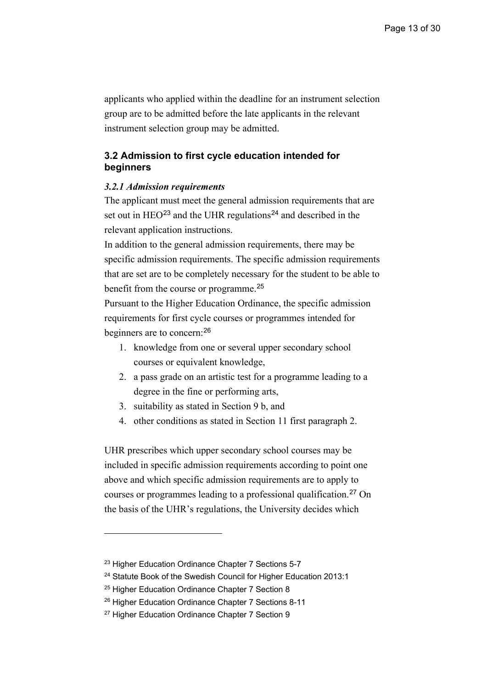applicants who applied within the deadline for an instrument selection group are to be admitted before the late applicants in the relevant instrument selection group may be admitted.

## <span id="page-12-0"></span>**3.2 Admission to first cycle education intended for beginners**

#### *3.2.1 Admission requirements*

The applicant must meet the general admission requirements that are set out in  $HEO<sup>23</sup>$  $HEO<sup>23</sup>$  $HEO<sup>23</sup>$  and the UHR regulations<sup>[24](#page-12-2)</sup> and described in the relevant application instructions.

In addition to the general admission requirements, there may be specific admission requirements. The specific admission requirements that are set are to be completely necessary for the student to be able to benefit from the course or programme.<sup>[25](#page-12-3)</sup>

Pursuant to the Higher Education Ordinance, the specific admission requirements for first cycle courses or programmes intended for beginners are to concern:<sup>[26](#page-12-4)</sup>

- 1. knowledge from one or several upper secondary school courses or equivalent knowledge,
- 2. a pass grade on an artistic test for a programme leading to a degree in the fine or performing arts,
- 3. suitability as stated in Section 9 b, and
- 4. other conditions as stated in Section 11 first paragraph 2.

UHR prescribes which upper secondary school courses may be included in specific admission requirements according to point one above and which specific admission requirements are to apply to courses or programmes leading to a professional qualification. [27](#page-12-5) On the basis of the UHR's regulations, the University decides which

<span id="page-12-1"></span><sup>&</sup>lt;sup>23</sup> Higher Education Ordinance Chapter 7 Sections 5-7

<span id="page-12-2"></span><sup>&</sup>lt;sup>24</sup> Statute Book of the Swedish Council for Higher Education 2013:1

<span id="page-12-3"></span><sup>&</sup>lt;sup>25</sup> Higher Education Ordinance Chapter 7 Section 8

<span id="page-12-4"></span><sup>26</sup> Higher Education Ordinance Chapter 7 Sections 8-11

<span id="page-12-5"></span><sup>&</sup>lt;sup>27</sup> Higher Education Ordinance Chapter 7 Section 9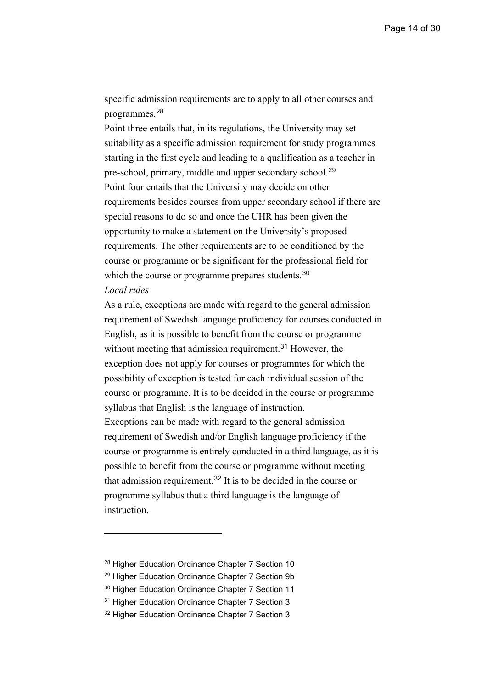specific admission requirements are to apply to all other courses and programmes. [28](#page-13-0)

Point three entails that, in its regulations, the University may set suitability as a specific admission requirement for study programmes starting in the first cycle and leading to a qualification as a teacher in pre-school, primary, middle and upper secondary school.<sup>[29](#page-13-1)</sup> Point four entails that the University may decide on other requirements besides courses from upper secondary school if there are special reasons to do so and once the UHR has been given the opportunity to make a statement on the University's proposed requirements. The other requirements are to be conditioned by the course or programme or be significant for the professional field for which the course or programme prepares students.<sup>[30](#page-13-2)</sup> *Local rules* 

As a rule, exceptions are made with regard to the general admission requirement of Swedish language proficiency for courses conducted in English, as it is possible to benefit from the course or programme without meeting that admission requirement.<sup>[31](#page-13-3)</sup> However, the exception does not apply for courses or programmes for which the possibility of exception is tested for each individual session of the course or programme. It is to be decided in the course or programme syllabus that English is the language of instruction. Exceptions can be made with regard to the general admission requirement of Swedish and/or English language proficiency if the course or programme is entirely conducted in a third language, as it is possible to benefit from the course or programme without meeting that admission requirement. [32](#page-13-4) It is to be decided in the course or programme syllabus that a third language is the language of instruction.

<span id="page-13-0"></span><sup>28</sup> Higher Education Ordinance Chapter 7 Section 10

<span id="page-13-1"></span><sup>&</sup>lt;sup>29</sup> Higher Education Ordinance Chapter 7 Section 9b

<span id="page-13-2"></span><sup>&</sup>lt;sup>30</sup> Higher Education Ordinance Chapter 7 Section 11

<span id="page-13-3"></span><sup>&</sup>lt;sup>31</sup> Higher Education Ordinance Chapter 7 Section 3

<span id="page-13-4"></span><sup>&</sup>lt;sup>32</sup> Higher Education Ordinance Chapter 7 Section 3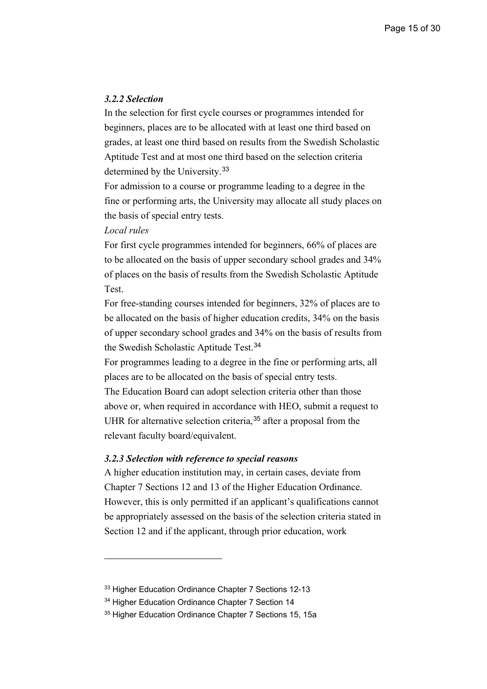#### *3.2.2 Selection*

In the selection for first cycle courses or programmes intended for beginners, places are to be allocated with at least one third based on grades, at least one third based on results from the Swedish Scholastic Aptitude Test and at most one third based on the selection criteria determined by the University.<sup>[33](#page-14-0)</sup>

For admission to a course or programme leading to a degree in the fine or performing arts, the University may allocate all study places on the basis of special entry tests.

## *Local rules*

For first cycle programmes intended for beginners, 66% of places are to be allocated on the basis of upper secondary school grades and 34% of places on the basis of results from the Swedish Scholastic Aptitude Test.

For free-standing courses intended for beginners, 32% of places are to be allocated on the basis of higher education credits, 34% on the basis of upper secondary school grades and 34% on the basis of results from the Swedish Scholastic Aptitude Test.<sup>[34](#page-14-1)</sup>

For programmes leading to a degree in the fine or performing arts, all places are to be allocated on the basis of special entry tests.

The Education Board can adopt selection criteria other than those above or, when required in accordance with HEO, submit a request to UHR for alternative selection criteria,<sup>[35](#page-14-2)</sup> after a proposal from the relevant faculty board/equivalent.

#### *3.2.3 Selection with reference to special reasons*

A higher education institution may, in certain cases, deviate from Chapter 7 Sections 12 and 13 of the Higher Education Ordinance. However, this is only permitted if an applicant's qualifications cannot be appropriately assessed on the basis of the selection criteria stated in Section 12 and if the applicant, through prior education, work

<span id="page-14-0"></span><sup>&</sup>lt;sup>33</sup> Higher Education Ordinance Chapter 7 Sections 12-13

<span id="page-14-1"></span><sup>&</sup>lt;sup>34</sup> Higher Education Ordinance Chapter 7 Section 14

<span id="page-14-2"></span><sup>&</sup>lt;sup>35</sup> Higher Education Ordinance Chapter 7 Sections 15, 15a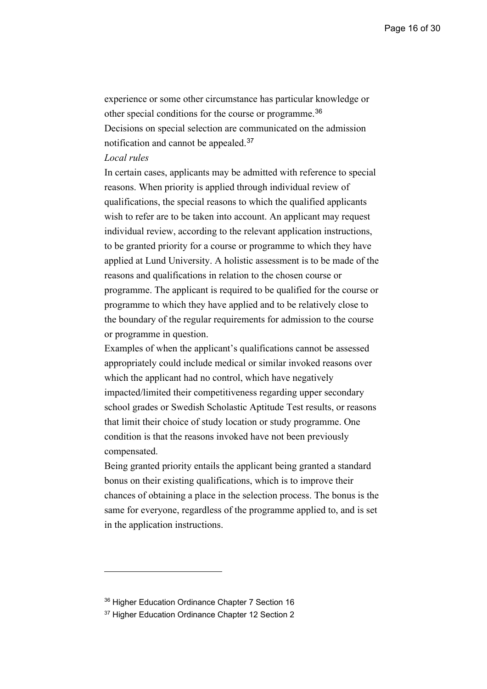experience or some other circumstance has particular knowledge or other special conditions for the course or programme.[36](#page-15-0) Decisions on special selection are communicated on the admission notification and cannot be appealed.[37](#page-15-1)

## *Local rules*

In certain cases, applicants may be admitted with reference to special reasons. When priority is applied through individual review of qualifications, the special reasons to which the qualified applicants wish to refer are to be taken into account. An applicant may request individual review, according to the relevant application instructions, to be granted priority for a course or programme to which they have applied at Lund University. A holistic assessment is to be made of the reasons and qualifications in relation to the chosen course or programme. The applicant is required to be qualified for the course or programme to which they have applied and to be relatively close to the boundary of the regular requirements for admission to the course or programme in question.

Examples of when the applicant's qualifications cannot be assessed appropriately could include medical or similar invoked reasons over which the applicant had no control, which have negatively impacted/limited their competitiveness regarding upper secondary school grades or Swedish Scholastic Aptitude Test results, or reasons that limit their choice of study location or study programme. One condition is that the reasons invoked have not been previously compensated.

Being granted priority entails the applicant being granted a standard bonus on their existing qualifications, which is to improve their chances of obtaining a place in the selection process. The bonus is the same for everyone, regardless of the programme applied to, and is set in the application instructions.

<span id="page-15-0"></span><sup>&</sup>lt;sup>36</sup> Higher Education Ordinance Chapter 7 Section 16

<span id="page-15-1"></span><sup>&</sup>lt;sup>37</sup> Higher Education Ordinance Chapter 12 Section 2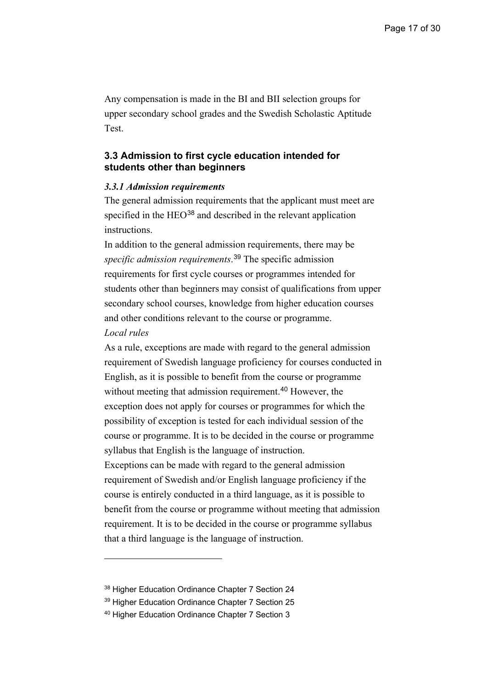Any compensation is made in the BI and BII selection groups for upper secondary school grades and the Swedish Scholastic Aptitude Test.

## <span id="page-16-0"></span>**3.3 Admission to first cycle education intended for students other than beginners**

#### *3.3.1 Admission requirements*

The general admission requirements that the applicant must meet are specified in the HEO<sup>[38](#page-16-1)</sup> and described in the relevant application instructions.

In addition to the general admission requirements, there may be *specific admission requirements*. [39](#page-16-2) The specific admission requirements for first cycle courses or programmes intended for students other than beginners may consist of qualifications from upper secondary school courses, knowledge from higher education courses and other conditions relevant to the course or programme.

#### *Local rules*

As a rule, exceptions are made with regard to the general admission requirement of Swedish language proficiency for courses conducted in English, as it is possible to benefit from the course or programme without meeting that admission requirement.<sup>[40](#page-16-3)</sup> However, the exception does not apply for courses or programmes for which the possibility of exception is tested for each individual session of the course or programme. It is to be decided in the course or programme syllabus that English is the language of instruction. Exceptions can be made with regard to the general admission requirement of Swedish and/or English language proficiency if the course is entirely conducted in a third language, as it is possible to benefit from the course or programme without meeting that admission requirement. It is to be decided in the course or programme syllabus that a third language is the language of instruction.

<span id="page-16-1"></span><sup>&</sup>lt;sup>38</sup> Higher Education Ordinance Chapter 7 Section 24

<span id="page-16-2"></span><sup>39</sup> Higher Education Ordinance Chapter 7 Section 25

<span id="page-16-3"></span><sup>40</sup> Higher Education Ordinance Chapter 7 Section 3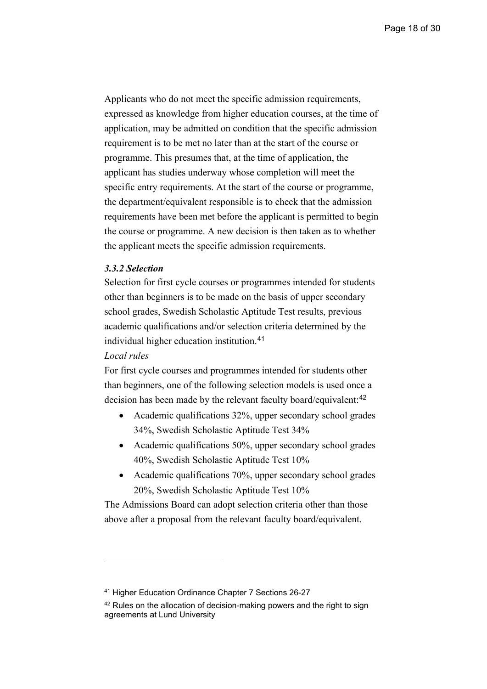Applicants who do not meet the specific admission requirements, expressed as knowledge from higher education courses, at the time of application, may be admitted on condition that the specific admission requirement is to be met no later than at the start of the course or programme. This presumes that, at the time of application, the applicant has studies underway whose completion will meet the specific entry requirements. At the start of the course or programme, the department/equivalent responsible is to check that the admission requirements have been met before the applicant is permitted to begin the course or programme. A new decision is then taken as to whether the applicant meets the specific admission requirements.

## *3.3.2 Selection*

Selection for first cycle courses or programmes intended for students other than beginners is to be made on the basis of upper secondary school grades, Swedish Scholastic Aptitude Test results, previous academic qualifications and/or selection criteria determined by the individual higher education institution.[41](#page-17-0)

## *Local rules*

For first cycle courses and programmes intended for students other than beginners, one of the following selection models is used once a decision has been made by the relevant faculty board/equivalent:<sup>[42](#page-17-1)</sup>

- Academic qualifications 32%, upper secondary school grades 34%, Swedish Scholastic Aptitude Test 34%
- Academic qualifications 50%, upper secondary school grades 40%, Swedish Scholastic Aptitude Test 10%
- Academic qualifications 70%, upper secondary school grades 20%, Swedish Scholastic Aptitude Test 10%

The Admissions Board can adopt selection criteria other than those above after a proposal from the relevant faculty board/equivalent.

<span id="page-17-0"></span><sup>41</sup> Higher Education Ordinance Chapter 7 Sections 26-27

<span id="page-17-1"></span><sup>&</sup>lt;sup>42</sup> Rules on the allocation of decision-making powers and the right to sign agreements at Lund University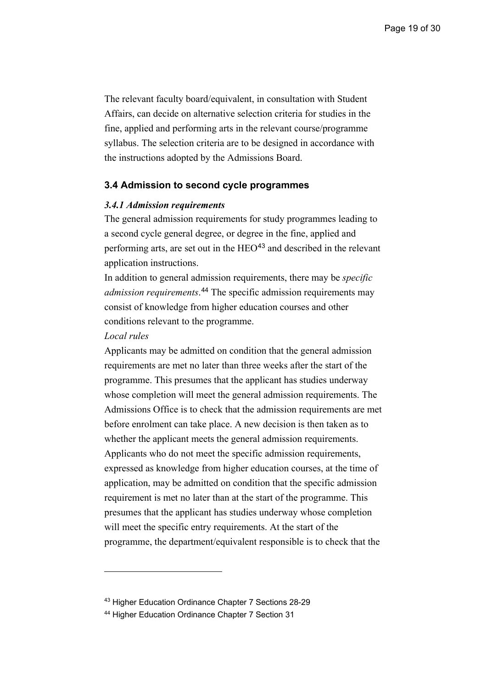The relevant faculty board/equivalent, in consultation with Student Affairs, can decide on alternative selection criteria for studies in the fine, applied and performing arts in the relevant course/programme syllabus. The selection criteria are to be designed in accordance with the instructions adopted by the Admissions Board.

#### <span id="page-18-0"></span>**3.4 Admission to second cycle programmes**

#### *3.4.1 Admission requirements*

The general admission requirements for study programmes leading to a second cycle general degree, or degree in the fine, applied and performing arts, are set out in the HEO<sup>[43](#page-18-1)</sup> and described in the relevant application instructions.

In addition to general admission requirements, there may be *specific admission requirements*. [44](#page-18-2) The specific admission requirements may consist of knowledge from higher education courses and other conditions relevant to the programme.

#### *Local rules*

Applicants may be admitted on condition that the general admission requirements are met no later than three weeks after the start of the programme. This presumes that the applicant has studies underway whose completion will meet the general admission requirements. The Admissions Office is to check that the admission requirements are met before enrolment can take place. A new decision is then taken as to whether the applicant meets the general admission requirements. Applicants who do not meet the specific admission requirements, expressed as knowledge from higher education courses, at the time of application, may be admitted on condition that the specific admission requirement is met no later than at the start of the programme. This presumes that the applicant has studies underway whose completion will meet the specific entry requirements. At the start of the programme, the department/equivalent responsible is to check that the

<span id="page-18-1"></span><sup>43</sup> Higher Education Ordinance Chapter 7 Sections 28-29

<span id="page-18-2"></span><sup>44</sup> Higher Education Ordinance Chapter 7 Section 31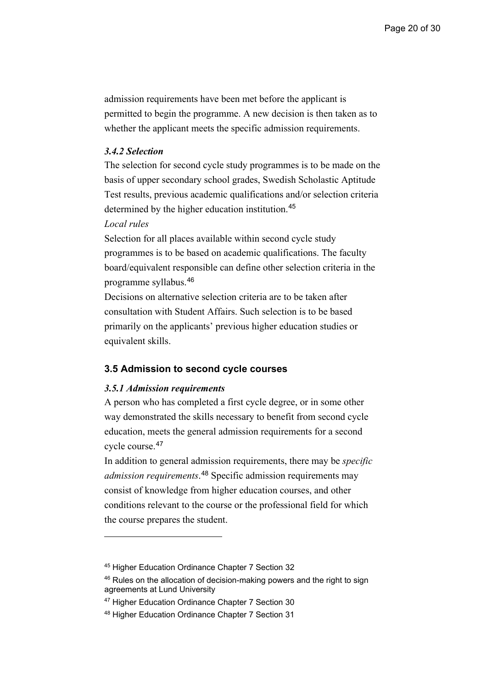admission requirements have been met before the applicant is permitted to begin the programme. A new decision is then taken as to whether the applicant meets the specific admission requirements.

#### *3.4.2 Selection*

The selection for second cycle study programmes is to be made on the basis of upper secondary school grades, Swedish Scholastic Aptitude Test results, previous academic qualifications and/or selection criteria determined by the higher education institution.[45](#page-19-1)

#### *Local rules*

Selection for all places available within second cycle study programmes is to be based on academic qualifications. The faculty board/equivalent responsible can define other selection criteria in the programme syllabus.[46](#page-19-2)

Decisions on alternative selection criteria are to be taken after consultation with Student Affairs. Such selection is to be based primarily on the applicants' previous higher education studies or equivalent skills.

#### <span id="page-19-0"></span>**3.5 Admission to second cycle courses**

#### *3.5.1 Admission requirements*

A person who has completed a first cycle degree, or in some other way demonstrated the skills necessary to benefit from second cycle education, meets the general admission requirements for a second cycle course.[47](#page-19-3)

In addition to general admission requirements, there may be *specific admission requirements*. [48](#page-19-4) Specific admission requirements may consist of knowledge from higher education courses, and other conditions relevant to the course or the professional field for which the course prepares the student.

<span id="page-19-1"></span><sup>45</sup> Higher Education Ordinance Chapter 7 Section 32

<span id="page-19-2"></span><sup>&</sup>lt;sup>46</sup> Rules on the allocation of decision-making powers and the right to sign agreements at Lund University

<span id="page-19-3"></span><sup>47</sup> Higher Education Ordinance Chapter 7 Section 30

<span id="page-19-4"></span><sup>48</sup> Higher Education Ordinance Chapter 7 Section 31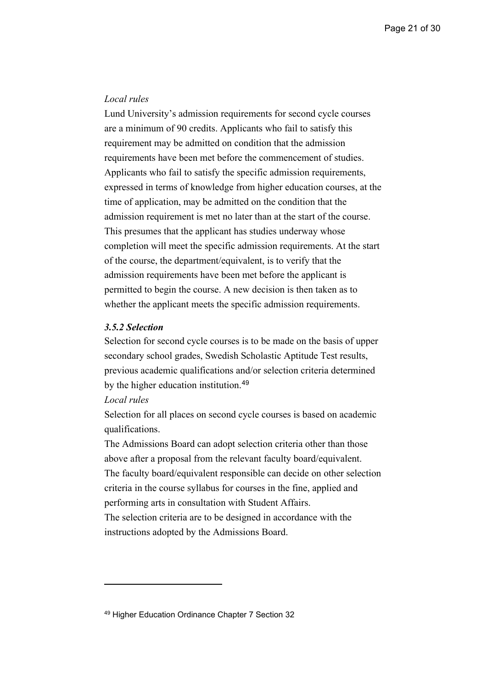#### *Local rules*

Lund University's admission requirements for second cycle courses are a minimum of 90 credits. Applicants who fail to satisfy this requirement may be admitted on condition that the admission requirements have been met before the commencement of studies. Applicants who fail to satisfy the specific admission requirements, expressed in terms of knowledge from higher education courses, at the time of application, may be admitted on the condition that the admission requirement is met no later than at the start of the course. This presumes that the applicant has studies underway whose completion will meet the specific admission requirements. At the start of the course, the department/equivalent, is to verify that the admission requirements have been met before the applicant is permitted to begin the course. A new decision is then taken as to whether the applicant meets the specific admission requirements.

## *3.5.2 Selection*

Selection for second cycle courses is to be made on the basis of upper secondary school grades, Swedish Scholastic Aptitude Test results, previous academic qualifications and/or selection criteria determined by the higher education institution.<sup>[49](#page-20-0)</sup>

#### *Local rules*

Selection for all places on second cycle courses is based on academic qualifications.

The Admissions Board can adopt selection criteria other than those above after a proposal from the relevant faculty board/equivalent. The faculty board/equivalent responsible can decide on other selection criteria in the course syllabus for courses in the fine, applied and performing arts in consultation with Student Affairs. The selection criteria are to be designed in accordance with the

instructions adopted by the Admissions Board.

<span id="page-20-0"></span><sup>49</sup> Higher Education Ordinance Chapter 7 Section 32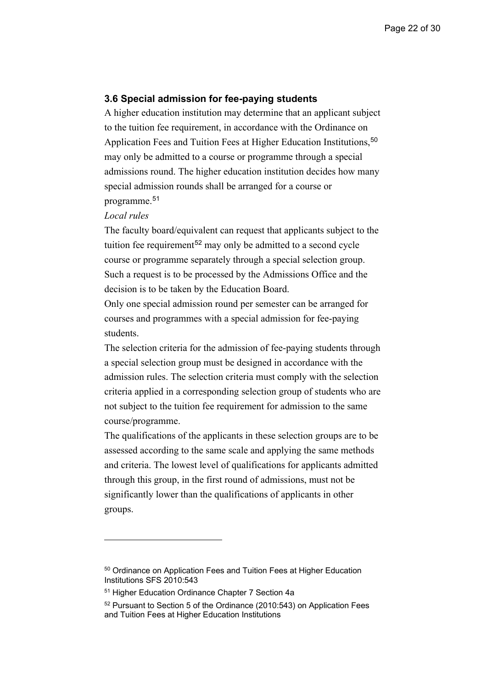#### <span id="page-21-0"></span>**3.6 Special admission for fee-paying students**

A higher education institution may determine that an applicant subject to the tuition fee requirement, in accordance with the Ordinance on Application Fees and Tuition Fees at Higher Education Institutions,<sup>[50](#page-21-1)</sup> may only be admitted to a course or programme through a special admissions round. The higher education institution decides how many special admission rounds shall be arranged for a course or programme.[51](#page-21-2)

#### *Local rules*

The faculty board/equivalent can request that applicants subject to the tuition fee requirement<sup>[52](#page-21-3)</sup> may only be admitted to a second cycle course or programme separately through a special selection group. Such a request is to be processed by the Admissions Office and the decision is to be taken by the Education Board.

Only one special admission round per semester can be arranged for courses and programmes with a special admission for fee-paying students.

The selection criteria for the admission of fee-paying students through a special selection group must be designed in accordance with the admission rules. The selection criteria must comply with the selection criteria applied in a corresponding selection group of students who are not subject to the tuition fee requirement for admission to the same course/programme.

The qualifications of the applicants in these selection groups are to be assessed according to the same scale and applying the same methods and criteria. The lowest level of qualifications for applicants admitted through this group, in the first round of admissions, must not be significantly lower than the qualifications of applicants in other groups.

<span id="page-21-1"></span><sup>50</sup> Ordinance on Application Fees and Tuition Fees at Higher Education Institutions SFS 2010:543

<span id="page-21-2"></span><sup>51</sup> Higher Education Ordinance Chapter 7 Section 4a

<span id="page-21-3"></span><sup>52</sup> Pursuant to Section 5 of the Ordinance (2010:543) on Application Fees and Tuition Fees at Higher Education Institutions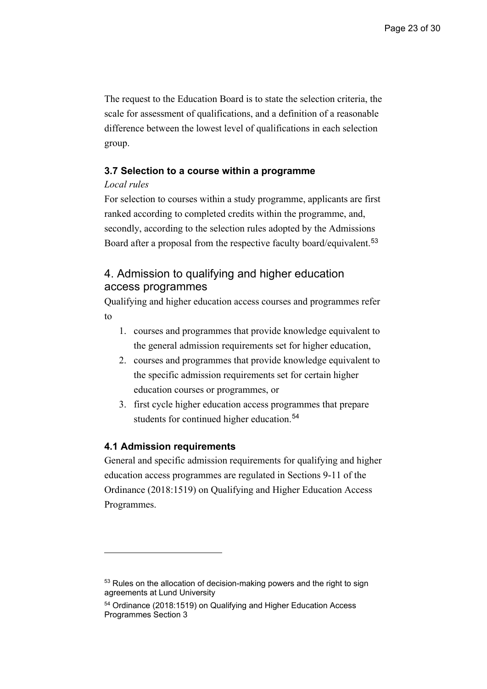The request to the Education Board is to state the selection criteria, the scale for assessment of qualifications, and a definition of a reasonable difference between the lowest level of qualifications in each selection group.

## <span id="page-22-0"></span>**3.7 Selection to a course within a programme**

### *Local rules*

For selection to courses within a study programme, applicants are first ranked according to completed credits within the programme, and, secondly, according to the selection rules adopted by the Admissions Board after a proposal from the respective faculty board/equivalent.<sup>[53](#page-22-3)</sup>

# <span id="page-22-1"></span>4. Admission to qualifying and higher education access programmes

Qualifying and higher education access courses and programmes refer to

- 1. courses and programmes that provide knowledge equivalent to the general admission requirements set for higher education,
- 2. courses and programmes that provide knowledge equivalent to the specific admission requirements set for certain higher education courses or programmes, or
- 3. first cycle higher education access programmes that prepare students for continued higher education.<sup>[54](#page-22-4)</sup>

## <span id="page-22-2"></span>**4.1 Admission requirements**

General and specific admission requirements for qualifying and higher education access programmes are regulated in Sections 9-11 of the Ordinance (2018:1519) on Qualifying and Higher Education Access Programmes.

<span id="page-22-3"></span><sup>&</sup>lt;sup>53</sup> Rules on the allocation of decision-making powers and the right to sign agreements at Lund University

<span id="page-22-4"></span><sup>54</sup> Ordinance (2018:1519) on Qualifying and Higher Education Access Programmes Section 3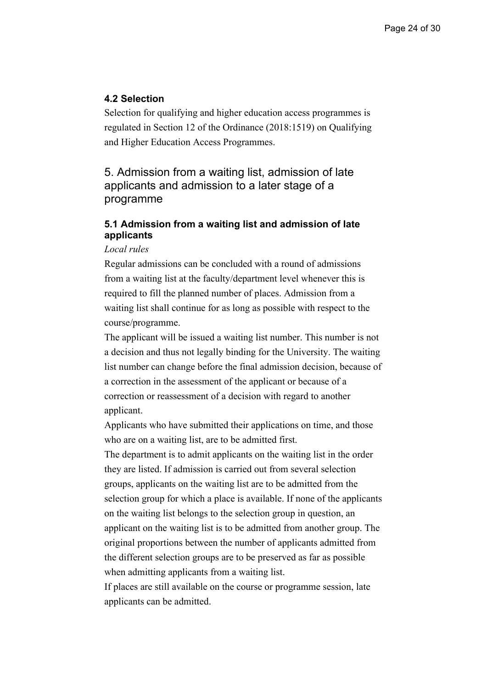## <span id="page-23-0"></span>**4.2 Selection**

Selection for qualifying and higher education access programmes is regulated in Section 12 of the Ordinance (2018:1519) on Qualifying and Higher Education Access Programmes.

<span id="page-23-1"></span>5. Admission from a waiting list, admission of late applicants and admission to a later stage of a programme

## <span id="page-23-2"></span>**5.1 Admission from a waiting list and admission of late applicants**

## *Local rules*

Regular admissions can be concluded with a round of admissions from a waiting list at the faculty/department level whenever this is required to fill the planned number of places. Admission from a waiting list shall continue for as long as possible with respect to the course/programme.

The applicant will be issued a waiting list number. This number is not a decision and thus not legally binding for the University. The waiting list number can change before the final admission decision, because of a correction in the assessment of the applicant or because of a correction or reassessment of a decision with regard to another applicant.

Applicants who have submitted their applications on time, and those who are on a waiting list, are to be admitted first.

The department is to admit applicants on the waiting list in the order they are listed. If admission is carried out from several selection groups, applicants on the waiting list are to be admitted from the selection group for which a place is available. If none of the applicants on the waiting list belongs to the selection group in question, an applicant on the waiting list is to be admitted from another group. The original proportions between the number of applicants admitted from the different selection groups are to be preserved as far as possible when admitting applicants from a waiting list.

If places are still available on the course or programme session, late applicants can be admitted.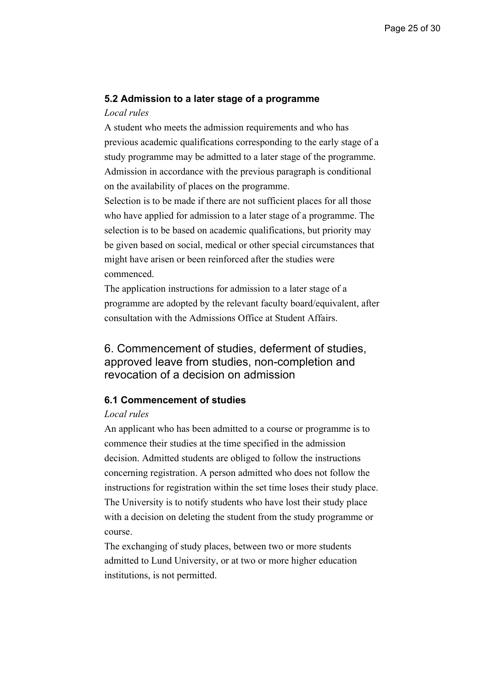#### <span id="page-24-0"></span>**5.2 Admission to a later stage of a programme**

#### *Local rules*

A student who meets the admission requirements and who has previous academic qualifications corresponding to the early stage of a study programme may be admitted to a later stage of the programme. Admission in accordance with the previous paragraph is conditional on the availability of places on the programme.

Selection is to be made if there are not sufficient places for all those who have applied for admission to a later stage of a programme. The selection is to be based on academic qualifications, but priority may be given based on social, medical or other special circumstances that might have arisen or been reinforced after the studies were commenced.

The application instructions for admission to a later stage of a programme are adopted by the relevant faculty board/equivalent, after consultation with the Admissions Office at Student Affairs.

# <span id="page-24-1"></span>6. Commencement of studies, deferment of studies, approved leave from studies, non-completion and revocation of a decision on admission

## <span id="page-24-2"></span>**6.1 Commencement of studies**

#### *Local rules*

An applicant who has been admitted to a course or programme is to commence their studies at the time specified in the admission decision. Admitted students are obliged to follow the instructions concerning registration. A person admitted who does not follow the instructions for registration within the set time loses their study place. The University is to notify students who have lost their study place with a decision on deleting the student from the study programme or course.

The exchanging of study places, between two or more students admitted to Lund University, or at two or more higher education institutions, is not permitted.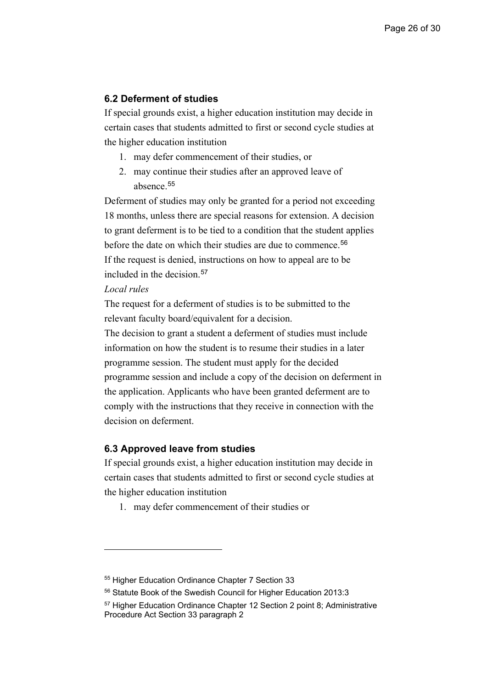## <span id="page-25-0"></span>**6.2 Deferment of studies**

If special grounds exist, a higher education institution may decide in certain cases that students admitted to first or second cycle studies at the higher education institution

- 1. may defer commencement of their studies, or
- 2. may continue their studies after an approved leave of absence.<sup>[55](#page-25-2)</sup>

Deferment of studies may only be granted for a period not exceeding 18 months, unless there are special reasons for extension. A decision to grant deferment is to be tied to a condition that the student applies before the date on which their studies are due to commence.<sup>[56](#page-25-3)</sup> If the request is denied, instructions on how to appeal are to be included in the decision.[57](#page-25-4)

## *Local rules*

The request for a deferment of studies is to be submitted to the relevant faculty board/equivalent for a decision.

The decision to grant a student a deferment of studies must include information on how the student is to resume their studies in a later programme session. The student must apply for the decided programme session and include a copy of the decision on deferment in the application. Applicants who have been granted deferment are to comply with the instructions that they receive in connection with the decision on deferment.

#### <span id="page-25-1"></span>**6.3 Approved leave from studies**

If special grounds exist, a higher education institution may decide in certain cases that students admitted to first or second cycle studies at the higher education institution

1. may defer commencement of their studies or

<span id="page-25-2"></span><sup>55</sup> Higher Education Ordinance Chapter 7 Section 33

<span id="page-25-3"></span><sup>56</sup> Statute Book of the Swedish Council for Higher Education 2013:3

<span id="page-25-4"></span><sup>57</sup> Higher Education Ordinance Chapter 12 Section 2 point 8; Administrative Procedure Act Section 33 paragraph 2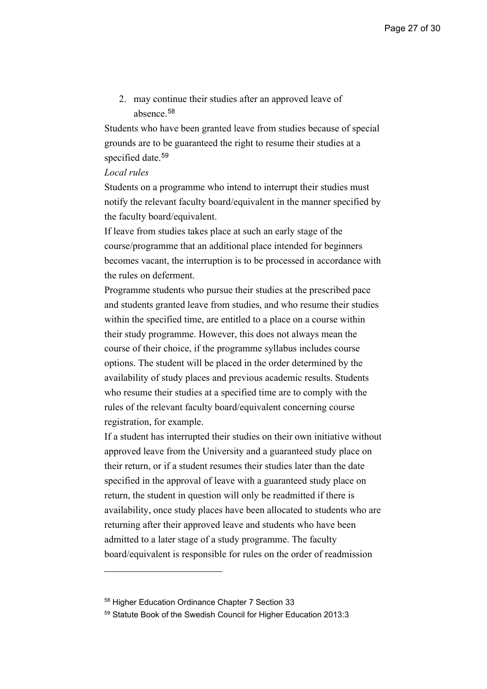2. may continue their studies after an approved leave of absence.<sup>[58](#page-26-0)</sup>

Students who have been granted leave from studies because of special grounds are to be guaranteed the right to resume their studies at a specified date.<sup>[59](#page-26-1)</sup>

#### *Local rules*

Students on a programme who intend to interrupt their studies must notify the relevant faculty board/equivalent in the manner specified by the faculty board/equivalent.

If leave from studies takes place at such an early stage of the course/programme that an additional place intended for beginners becomes vacant, the interruption is to be processed in accordance with the rules on deferment.

Programme students who pursue their studies at the prescribed pace and students granted leave from studies, and who resume their studies within the specified time, are entitled to a place on a course within their study programme. However, this does not always mean the course of their choice, if the programme syllabus includes course options. The student will be placed in the order determined by the availability of study places and previous academic results. Students who resume their studies at a specified time are to comply with the rules of the relevant faculty board/equivalent concerning course registration, for example.

If a student has interrupted their studies on their own initiative without approved leave from the University and a guaranteed study place on their return, or if a student resumes their studies later than the date specified in the approval of leave with a guaranteed study place on return, the student in question will only be readmitted if there is availability, once study places have been allocated to students who are returning after their approved leave and students who have been admitted to a later stage of a study programme. The faculty board/equivalent is responsible for rules on the order of readmission

<span id="page-26-0"></span><sup>58</sup> Higher Education Ordinance Chapter 7 Section 33

<span id="page-26-1"></span><sup>59</sup> Statute Book of the Swedish Council for Higher Education 2013:3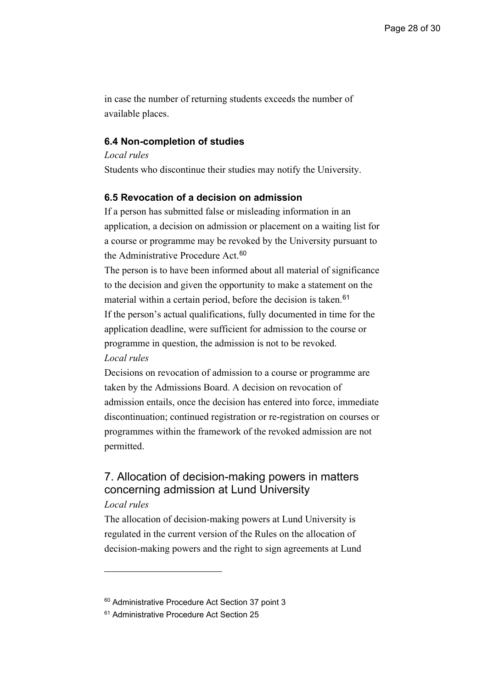in case the number of returning students exceeds the number of available places.

## <span id="page-27-0"></span>**6.4 Non-completion of studies**

*Local rules*  Students who discontinue their studies may notify the University.

## <span id="page-27-1"></span>**6.5 Revocation of a decision on admission**

If a person has submitted false or misleading information in an application, a decision on admission or placement on a waiting list for a course or programme may be revoked by the University pursuant to the Administrative Procedure Act.<sup>[60](#page-27-3)</sup>

The person is to have been informed about all material of significance to the decision and given the opportunity to make a statement on the material within a certain period, before the decision is taken.<sup>[61](#page-27-4)</sup> If the person's actual qualifications, fully documented in time for the application deadline, were sufficient for admission to the course or programme in question, the admission is not to be revoked.

## *Local rules*

Decisions on revocation of admission to a course or programme are taken by the Admissions Board. A decision on revocation of admission entails, once the decision has entered into force, immediate discontinuation; continued registration or re-registration on courses or programmes within the framework of the revoked admission are not permitted.

# <span id="page-27-2"></span>7. Allocation of decision-making powers in matters concerning admission at Lund University

### *Local rules*

The allocation of decision-making powers at Lund University is regulated in the current version of the Rules on the allocation of decision-making powers and the right to sign agreements at Lund

<span id="page-27-3"></span><sup>60</sup> Administrative Procedure Act Section 37 point 3

<span id="page-27-4"></span><sup>&</sup>lt;sup>61</sup> Administrative Procedure Act Section 25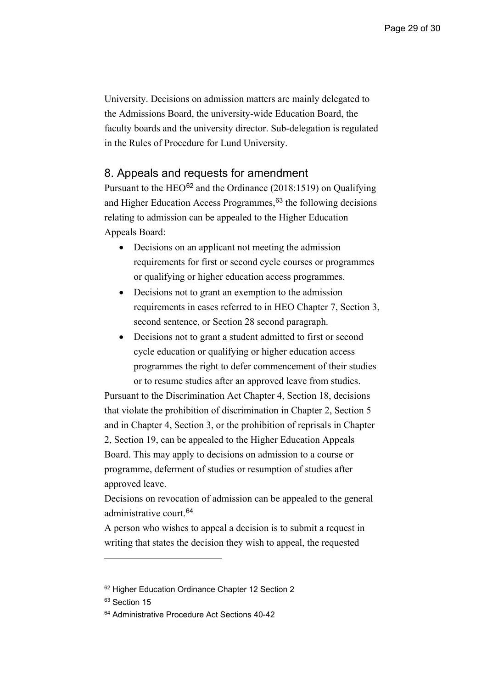University. Decisions on admission matters are mainly delegated to the Admissions Board, the university-wide Education Board, the faculty boards and the university director. Sub-delegation is regulated in the Rules of Procedure for Lund University.

## <span id="page-28-0"></span>8. Appeals and requests for amendment

Pursuant to the HEO<sup>[62](#page-28-1)</sup> and the Ordinance (2018:1519) on Qualifying and Higher Education Access Programmes,<sup>[63](#page-28-2)</sup> the following decisions relating to admission can be appealed to the Higher Education Appeals Board:

- Decisions on an applicant not meeting the admission requirements for first or second cycle courses or programmes or qualifying or higher education access programmes.
- Decisions not to grant an exemption to the admission requirements in cases referred to in HEO Chapter 7, Section 3, second sentence, or Section 28 second paragraph.
- Decisions not to grant a student admitted to first or second cycle education or qualifying or higher education access programmes the right to defer commencement of their studies or to resume studies after an approved leave from studies.

Pursuant to the Discrimination Act Chapter 4, Section 18, decisions that violate the prohibition of discrimination in Chapter 2, Section 5 and in Chapter 4, Section 3, or the prohibition of reprisals in Chapter 2, Section 19, can be appealed to the Higher Education Appeals Board. This may apply to decisions on admission to a course or programme, deferment of studies or resumption of studies after approved leave.

Decisions on revocation of admission can be appealed to the general administrative court.[64](#page-28-3)

A person who wishes to appeal a decision is to submit a request in writing that states the decision they wish to appeal, the requested

<span id="page-28-1"></span><sup>&</sup>lt;sup>62</sup> Higher Education Ordinance Chapter 12 Section 2

<span id="page-28-2"></span><sup>&</sup>lt;sup>63</sup> Section 15

<span id="page-28-3"></span><sup>&</sup>lt;sup>64</sup> Administrative Procedure Act Sections 40-42